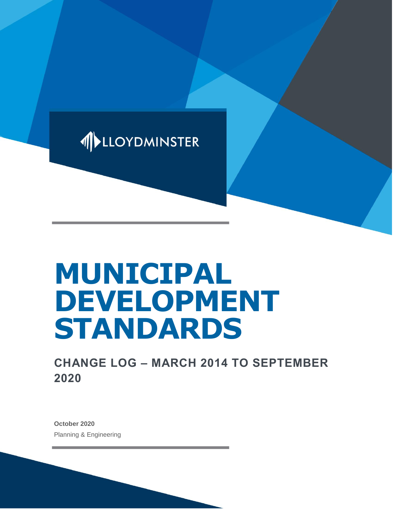

# **MUNICIPAL DEVELOPMENT STANDARDS**

**CHANGE LOG – MARCH 2014 TO SEPTEMBER 2020**

**October 2020** Planning & Engineering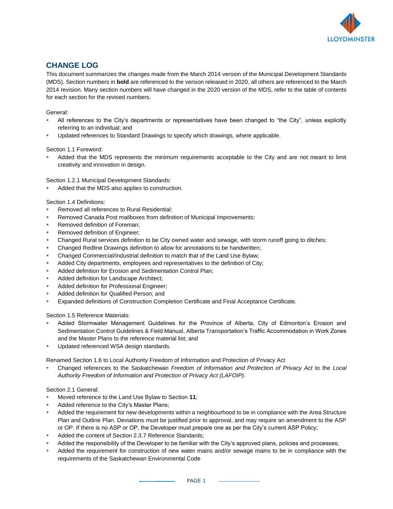

# **CHANGE LOG**

This document summarizes the changes made from the March 2014 version of the Municipal Development Standards (MDS). Section numbers in **bold** are referenced to the version released in 2020, all others are referenced to the March 2014 revision. Many section numbers will have changed in the 2020 version of the MDS, refer to the table of contents for each section for the revised numbers.

# General:

- All references to the City's departments or representatives have been changed to "the City", unless explicitly referring to an individual; and
- Updated references to Standard Drawings to specify which drawings, where applicable.

# Section 1.1 Foreword:

Added that the MDS represents the minimum requirements acceptable to the City and are not meant to limit creativity and innovation in design.

Section 1.2.1 Municipal Development Standards:

Added that the MDS also applies to construction.

# Section 1.4 Definitions:

- Removed all references to Rural Residential;
- Removed Canada Post mailboxes from definition of Municipal Improvements;
- Removed definition of Foreman;
- Removed definition of Engineer;
- Changed Rural services definition to be City owned water and sewage, with storm runoff going to ditches;
- Changed Redline Drawings definition to allow for annotations to be handwritten;
- Changed Commercial/Industrial definition to match that of the Land Use Bylaw;
- Added City departments, employees and representatives to the definition of City;
- Added definition for Erosion and Sedimentation Control Plan;
- Added definition for Landscape Architect:
- Added definition for Professional Engineer;
- Added definition for Qualified Person; and
- Expanded definitions of Construction Completion Certificate and Final Acceptance Certificate.

#### Section 1.5 Reference Materials:

- Added Stormwater Management Guidelines for the Province of Alberta, City of Edmonton's Erosion and Sedimentation Control Guidelines & Field Manual, Alberta Transportation's Traffic Accommodation in Work Zones and the Master Plans to the reference material list; and
- Updated referenced WSA design standards.

Renamed Section 1.6 to Local Authority Freedom of Information and Protection of Privacy Act

Changed references to the Saskatchewan *Freedom of Information and Protection of Privacy Act* to the *Local Authority Freedom of Information and Protection of Privacy Act (LAFOIP)*.

# Section 2.1 General:

- Moved reference to the Land Use Bylaw to Section 11;
- Added reference to the City's Master Plans;
- Added the requirement for new developments within a neighbourhood to be in compliance with the Area Structure Plan and Outline Plan. Deviations must be justified prior to approval, and may require an amendment to the ASP or OP. If there is no ASP or OP, the Developer must prepare one as per the City's current ASP Policy;
- Added the content of Section 2.3.7 Reference Standards;
- Added the responsibility of the Developer to be familiar with the City's approved plans, policies and processes;
- Added the requirement for construction of new water mains and/or sewage mains to be in compliance with the requirements of the Saskatchewan Environmental Code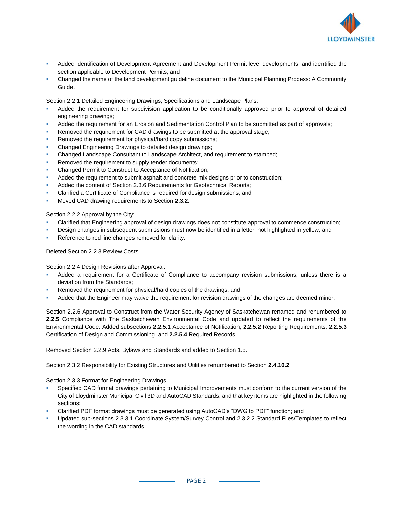

- Added identification of Development Agreement and Development Permit level developments, and identified the section applicable to Development Permits; and
- Changed the name of the land development guideline document to the Municipal Planning Process: A Community Guide.

Section 2.2.1 Detailed Engineering Drawings, Specifications and Landscape Plans:

- Added the requirement for subdivision application to be conditionally approved prior to approval of detailed engineering drawings;
- Added the requirement for an Erosion and Sedimentation Control Plan to be submitted as part of approvals;
- Removed the requirement for CAD drawings to be submitted at the approval stage;
- Removed the requirement for physical/hard copy submissions;
- Changed Engineering Drawings to detailed design drawings;
- Changed Landscape Consultant to Landscape Architect, and requirement to stamped;
- Removed the requirement to supply tender documents;
- Changed Permit to Construct to Acceptance of Notification;
- Added the requirement to submit asphalt and concrete mix designs prior to construction;
- Added the content of Section 2.3.6 Requirements for Geotechnical Reports;
- Clarified a Certificate of Compliance is required for design submissions; and
- Moved CAD drawing requirements to Section 2.3.2.

Section 2.2.2 Approval by the City:

- Clarified that Engineering approval of design drawings does not constitute approval to commence construction;
- Design changes in subsequent submissions must now be identified in a letter, not highlighted in yellow; and
- Reference to red line changes removed for clarity.

Deleted Section 2.2.3 Review Costs.

Section 2.2.4 Design Revisions after Approval:

- Added a requirement for a Certificate of Compliance to accompany revision submissions, unless there is a deviation from the Standards;
- Removed the requirement for physical/hard copies of the drawings; and
- Added that the Engineer may waive the requirement for revision drawings of the changes are deemed minor.

Section 2.2.6 Approval to Construct from the Water Security Agency of Saskatchewan renamed and renumbered to **2.2.5** Compliance with The Saskatchewan Environmental Code and updated to reflect the requirements of the Environmental Code. Added subsections **2.2.5.1** Acceptance of Notification, **2.2.5.2** Reporting Requirements, **2.2.5.3** Certification of Design and Commissioning, and **2.2.5.4** Required Records.

Removed Section 2.2.9 Acts, Bylaws and Standards and added to Section 1.5.

Section 2.3.2 Responsibility for Existing Structures and Utilities renumbered to Section **2.4.10.2**

Section 2.3.3 Format for Engineering Drawings:

- Specified CAD format drawings pertaining to Municipal Improvements must conform to the current version of the City of Lloydminster Municipal Civil 3D and AutoCAD Standards, and that key items are highlighted in the following sections;
- Clarified PDF format drawings must be generated using AutoCAD's "DWG to PDF" function; and
- Updated sub-sections 2.3.3.1 Coordinate System/Survey Control and 2.3.2.2 Standard Files/Templates to reflect the wording in the CAD standards.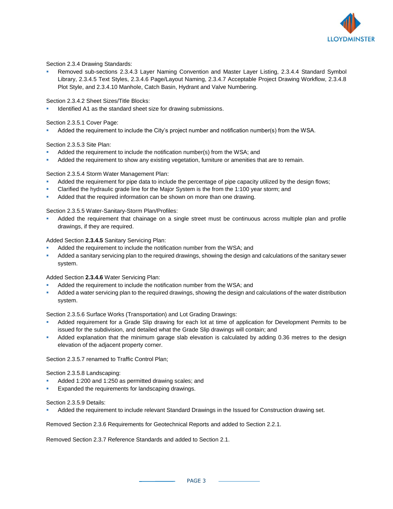

Section 2.3.4 Drawing Standards:

Removed sub-sections 2.3.4.3 Layer Naming Convention and Master Layer Listing, 2.3.4.4 Standard Symbol Library, 2.3.4.5 Text Styles, 2.3.4.6 Page/Layout Naming, 2.3.4.7 Acceptable Project Drawing Workflow, 2.3.4.8 Plot Style, and 2.3.4.10 Manhole, Catch Basin, Hydrant and Valve Numbering.

Section 2.3.4.2 Sheet Sizes/Title Blocks:

Identified A1 as the standard sheet size for drawing submissions.

Section 2.3.5.1 Cover Page:

Added the requirement to include the City's project number and notification number(s) from the WSA.

Section 2.3.5.3 Site Plan:

- Added the requirement to include the notification number(s) from the WSA; and
- Added the requirement to show any existing vegetation, furniture or amenities that are to remain.

Section 2.3.5.4 Storm Water Management Plan:

- Added the requirement for pipe data to include the percentage of pipe capacity utilized by the design flows;
- Clarified the hydraulic grade line for the Major System is the from the 1:100 year storm; and
- Added that the required information can be shown on more than one drawing.

Section 2.3.5.5 Water-Sanitary-Storm Plan/Profiles:

Added the requirement that chainage on a single street must be continuous across multiple plan and profile drawings, if they are required.

Added Section **2.3.4.5** Sanitary Servicing Plan:

- Added the requirement to include the notification number from the WSA; and
- Added a sanitary servicing plan to the required drawings, showing the design and calculations of the sanitary sewer system.

Added Section **2.3.4.6** Water Servicing Plan:

- Added the requirement to include the notification number from the WSA; and
- Added a water servicing plan to the required drawings, showing the design and calculations of the water distribution system.

Section 2.3.5.6 Surface Works (Transportation) and Lot Grading Drawings:

- Added requirement for a Grade Slip drawing for each lot at time of application for Development Permits to be issued for the subdivision, and detailed what the Grade Slip drawings will contain; and
- Added explanation that the minimum garage slab elevation is calculated by adding 0.36 metres to the design elevation of the adjacent property corner.

Section 2.3.5.7 renamed to Traffic Control Plan;

Section 2.3.5.8 Landscaping:

- Added 1:200 and 1:250 as permitted drawing scales; and
- Expanded the requirements for landscaping drawings.

Section 2.3.5.9 Details:

Added the requirement to include relevant Standard Drawings in the Issued for Construction drawing set.

Removed Section 2.3.6 Requirements for Geotechnical Reports and added to Section 2.2.1.

Removed Section 2.3.7 Reference Standards and added to Section 2.1.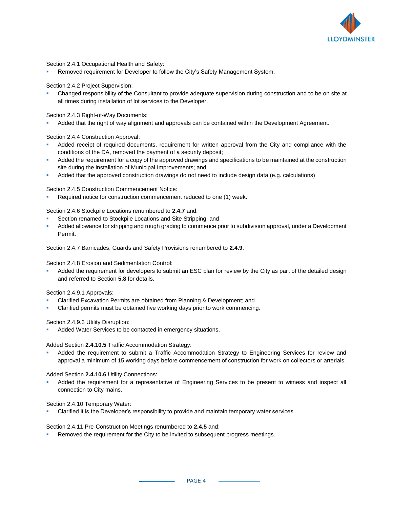

Section 2.4.1 Occupational Health and Safety:

Removed requirement for Developer to follow the City's Safety Management System.

Section 2.4.2 Project Supervision:

Changed responsibility of the Consultant to provide adequate supervision during construction and to be on site at all times during installation of lot services to the Developer.

Section 2.4.3 Right-of-Way Documents:

Added that the right of way alignment and approvals can be contained within the Development Agreement.

Section 2.4.4 Construction Approval:

- Added receipt of required documents, requirement for written approval from the City and compliance with the conditions of the DA, removed the payment of a security deposit;
- Added the requirement for a copy of the approved drawings and specifications to be maintained at the construction site during the installation of Municipal Improvements; and
- Added that the approved construction drawings do not need to include design data (e.g. calculations)

Section 2.4.5 Construction Commencement Notice:

Required notice for construction commencement reduced to one (1) week.

Section 2.4.6 Stockpile Locations renumbered to **2.4.7** and:

- Section renamed to Stockpile Locations and Site Stripping; and
- Added allowance for stripping and rough grading to commence prior to subdivision approval, under a Development Permit.

Section 2.4.7 Barricades, Guards and Safety Provisions renumbered to **2.4.9**.

Section 2.4.8 Erosion and Sedimentation Control:

Added the requirement for developers to submit an ESC plan for review by the City as part of the detailed design and referred to Section **5.8** for details.

Section 2.4.9.1 Approvals:

- Clarified Excavation Permits are obtained from Planning & Development; and
- Clarified permits must be obtained five working days prior to work commencing.

Section 2.4.9.3 Utility Disruption:

Added Water Services to be contacted in emergency situations.

Added Section **2.4.10.5** Traffic Accommodation Strategy:

Added the requirement to submit a Traffic Accommodation Strategy to Engineering Services for review and approval a minimum of 15 working days before commencement of construction for work on collectors or arterials.

Added Section **2.4.10.6** Utility Connections:

Added the requirement for a representative of Engineering Services to be present to witness and inspect all connection to City mains.

Section 2.4.10 Temporary Water:

Clarified it is the Developer's responsibility to provide and maintain temporary water services.

Section 2.4.11 Pre-Construction Meetings renumbered to **2.4.5** and:

Removed the requirement for the City to be invited to subsequent progress meetings.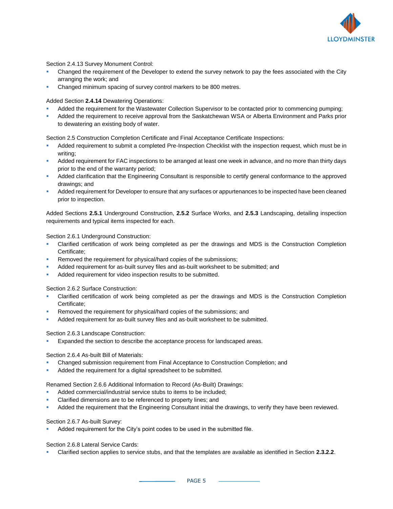

Section 2.4.13 Survey Monument Control:

- Changed the requirement of the Developer to extend the survey network to pay the fees associated with the City arranging the work; and
- Changed minimum spacing of survey control markers to be 800 metres.

Added Section **2.4.14** Dewatering Operations:

- Added the requirement for the Wastewater Collection Supervisor to be contacted prior to commencing pumping;
- Added the requirement to receive approval from the Saskatchewan WSA or Alberta Environment and Parks prior to dewatering an existing body of water.

Section 2.5 Construction Completion Certificate and Final Acceptance Certificate Inspections:

- Added requirement to submit a completed Pre-Inspection Checklist with the inspection request, which must be in writing;
- Added requirement for FAC inspections to be arranged at least one week in advance, and no more than thirty days prior to the end of the warranty period;
- Added clarification that the Engineering Consultant is responsible to certify general conformance to the approved drawings; and
- Added requirement for Developer to ensure that any surfaces or appurtenances to be inspected have been cleaned prior to inspection.

Added Sections **2.5.1** Underground Construction, **2.5.2** Surface Works, and **2.5.3** Landscaping, detailing inspection requirements and typical items inspected for each.

Section 2.6.1 Underground Construction:

- Clarified certification of work being completed as per the drawings and MDS is the Construction Completion Certificate;
- Removed the requirement for physical/hard copies of the submissions;
- Added requirement for as-built survey files and as-built worksheet to be submitted; and
- Added requirement for video inspection results to be submitted.

Section 2.6.2 Surface Construction:

- Clarified certification of work being completed as per the drawings and MDS is the Construction Completion Certificate;
- Removed the requirement for physical/hard copies of the submissions; and
- Added requirement for as-built survey files and as-built worksheet to be submitted.

Section 2.6.3 Landscape Construction:

Expanded the section to describe the acceptance process for landscaped areas.

Section 2.6.4 As-built Bill of Materials:

- Changed submission requirement from Final Acceptance to Construction Completion; and
- Added the requirement for a digital spreadsheet to be submitted.

Renamed Section 2.6.6 Additional Information to Record (As-Built) Drawings:

- Added commercial/industrial service stubs to items to be included;
- Clarified dimensions are to be referenced to property lines; and
- Added the requirement that the Engineering Consultant initial the drawings, to verify they have been reviewed.

#### Section 2.6.7 As-built Survey:

Added requirement for the City's point codes to be used in the submitted file.

Section 2.6.8 Lateral Service Cards:

▪ Clarified section applies to service stubs, and that the templates are available as identified in Section **2.3.2.2**.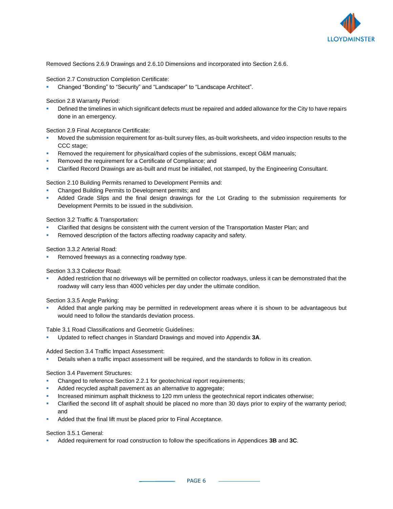

Removed Sections 2.6.9 Drawings and 2.6.10 Dimensions and incorporated into Section 2.6.6.

#### Section 2.7 Construction Completion Certificate:

Changed "Bonding" to "Security" and "Landscaper" to "Landscape Architect".

#### Section 2.8 Warranty Period:

Defined the timelines in which significant defects must be repaired and added allowance for the City to have repairs done in an emergency.

#### Section 2.9 Final Acceptance Certificate:

- Moved the submission requirement for as-built survey files, as-built worksheets, and video inspection results to the CCC stage;
- Removed the requirement for physical/hard copies of the submissions, except O&M manuals;
- Removed the requirement for a Certificate of Compliance; and
- Clarified Record Drawings are as-built and must be initialled, not stamped, by the Engineering Consultant.

Section 2.10 Building Permits renamed to Development Permits and:

- Changed Building Permits to Development permits; and
- Added Grade Slips and the final design drawings for the Lot Grading to the submission requirements for Development Permits to be issued in the subdivision.

# Section 3.2 Traffic & Transportation:

- Clarified that designs be consistent with the current version of the Transportation Master Plan; and
- Removed description of the factors affecting roadway capacity and safety.

#### Section 3.3.2 Arterial Road:

Removed freeways as a connecting roadway type.

Section 3.3.3 Collector Road:

Added restriction that no driveways will be permitted on collector roadways, unless it can be demonstrated that the roadway will carry less than 4000 vehicles per day under the ultimate condition.

Section 3.3.5 Angle Parking:

Added that angle parking may be permitted in redevelopment areas where it is shown to be advantageous but would need to follow the standards deviation process.

Table 3.1 Road Classifications and Geometric Guidelines:

▪ Updated to reflect changes in Standard Drawings and moved into Appendix **3A**.

Added Section 3.4 Traffic Impact Assessment:

Details when a traffic impact assessment will be required, and the standards to follow in its creation.

#### Section 3.4 Pavement Structures:

- Changed to reference Section 2.2.1 for geotechnical report requirements;
- Added recycled asphalt pavement as an alternative to aggregate;
- Increased minimum asphalt thickness to 120 mm unless the geotechnical report indicates otherwise;
- Clarified the second lift of asphalt should be placed no more than 30 days prior to expiry of the warranty period; and
- Added that the final lift must be placed prior to Final Acceptance.

#### Section 3.5.1 General:

▪ Added requirement for road construction to follow the specifications in Appendices **3B** and **3C**.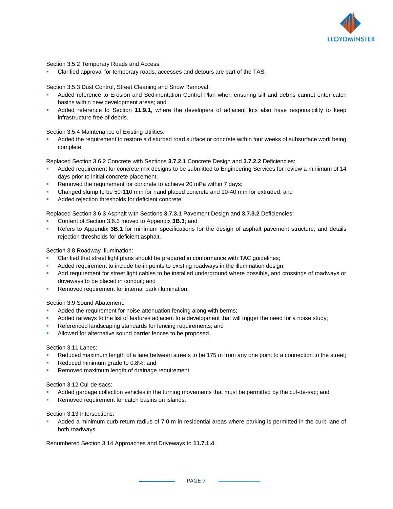

Section 3.5.2 Temporary Roads and Access:

Clarified approval for temporary roads, accesses and detours are part of the TAS.

Section 3.5.3 Dust Control, Street Cleaning and Snow Removal:

- Added reference to Erosion and Sedimentation Control Plan when ensuring silt and debris cannot enter catch basins within new development areas; and
- Added reference to Section 11.9.1, where the developers of adjacent lots also have responsibility to keep infrastructure free of debris.

Section 3.5.4 Maintenance of Existing Utilities:

Added the requirement to restore a disturbed road surface or concrete within four weeks of subsurface work being complete.

Replaced Section 3.6.2 Concrete with Sections **3.7.2.1** Concrete Design and **3.7.2.2** Deficiencies:

- Added requirement for concrete mix designs to be submitted to Engineering Services for review a minimum of 14 days prior to initial concrete placement;
- Removed the requirement for concrete to achieve 20 mPa within 7 days;
- Changed slump to be 50-110 mm for hand placed concrete and 10-40 mm for extruded; and
- Added rejection thresholds for deficient concrete.

Replaced Section 3.6.3 Asphalt with Sections **3.7.3.1** Pavement Design and **3.7.3.2** Deficiencies:

- Content of Section 3.6.3 moved to Appendix **3B.3**; and
- Refers to Appendix 3B.1 for minimum specifications for the design of asphalt pavement structure, and details rejection thresholds for deficient asphalt.

Section 3.8 Roadway Illumination:

- Clarified that street light plans should be prepared in conformance with TAC guidelines;
- Added requirement to include tie-in points to existing roadways in the illumination design;
- Add requirement for street light cables to be installed underground where possible, and crossings of roadways or driveways to be placed in conduit; and
- Removed requirement for internal park illumination.

Section 3.9 Sound Abatement:

- Added the requirement for noise attenuation fencing along with berms;
- Added railways to the list of features adjacent to a development that will trigger the need for a noise study;
- Referenced landscaping standards for fencing requirements; and
- Allowed for alternative sound barrier fences to be proposed.

Section 3.11 Lanes:

- Reduced maximum length of a lane between streets to be 175 m from any one point to a connection to the street;
- Reduced minimum grade to 0.8%; and
- Removed maximum length of drainage requirement.

Section 3.12 Cul-de-sacs:

- Added garbage collection vehicles in the turning movements that must be permitted by the cul-de-sac; and
- Removed requirement for catch basins on islands.

Section 3.13 Intersections:

Added a minimum curb return radius of 7.0 m in residential areas where parking is permitted in the curb lane of both roadways.

Renumbered Section 3.14 Approaches and Driveways to **11.7.1.4**.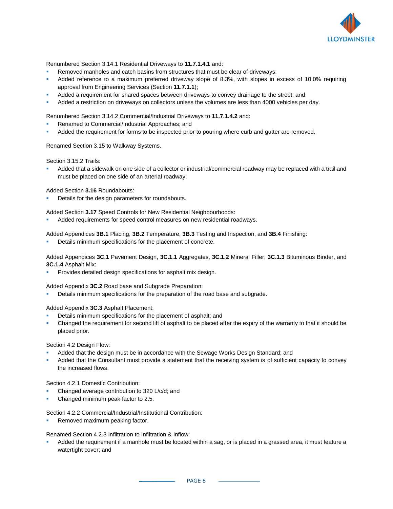

Renumbered Section 3.14.1 Residential Driveways to **11.7.1.4.1** and:

- Removed manholes and catch basins from structures that must be clear of driveways;
- Added reference to a maximum preferred driveway slope of 8.3%, with slopes in excess of 10.0% requiring approval from Engineering Services (Section **11.7.1.1**);
- Added a requirement for shared spaces between driveways to convey drainage to the street; and
- Added a restriction on driveways on collectors unless the volumes are less than 4000 vehicles per day.

Renumbered Section 3.14.2 Commercial/Industrial Driveways to **11.7.1.4.2** and:

- Renamed to Commercial/Industrial Approaches; and
- Added the requirement for forms to be inspected prior to pouring where curb and gutter are removed.

Renamed Section 3.15 to Walkway Systems.

Section 3.15.2 Trails:

Added that a sidewalk on one side of a collector or industrial/commercial roadway may be replaced with a trail and must be placed on one side of an arterial roadway.

Added Section **3.16** Roundabouts:

Details for the design parameters for roundabouts.

Added Section **3.17** Speed Controls for New Residential Neighbourhoods:

Added requirements for speed control measures on new residential roadways.

Added Appendices **3B.1** Placing, **3B.2** Temperature, **3B.3** Testing and Inspection, and **3B.4** Finishing:

Details minimum specifications for the placement of concrete.

Added Appendices **3C.1** Pavement Design, **3C.1.1** Aggregates, **3C.1.2** Mineral Filler, **3C.1.3** Bituminous Binder, and **3C.1.4** Asphalt Mix:

Provides detailed design specifications for asphalt mix design.

Added Appendix **3C.2** Road base and Subgrade Preparation:

Details minimum specifications for the preparation of the road base and subgrade.

Added Appendix **3C.3** Asphalt Placement:

- Details minimum specifications for the placement of asphalt; and
- Changed the requirement for second lift of asphalt to be placed after the expiry of the warranty to that it should be placed prior.

Section 4.2 Design Flow:

- Added that the design must be in accordance with the Sewage Works Design Standard; and
- Added that the Consultant must provide a statement that the receiving system is of sufficient capacity to convey the increased flows.

Section 4.2.1 Domestic Contribution:

- Changed average contribution to 320 L/c/d; and
- Changed minimum peak factor to 2.5.

Section 4.2.2 Commercial/Industrial/Institutional Contribution:

Removed maximum peaking factor.

Renamed Section 4.2.3 Infiltration to Infiltration & Inflow:

Added the requirement if a manhole must be located within a sag, or is placed in a grassed area, it must feature a watertight cover; and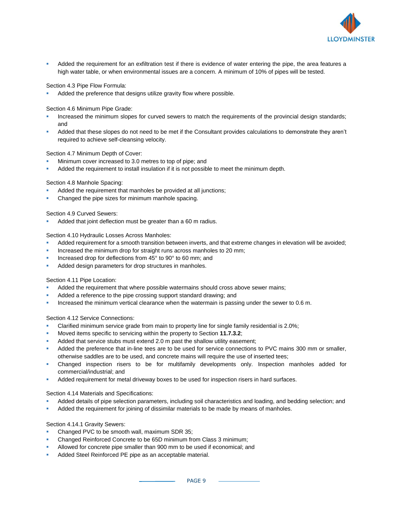

Added the requirement for an exfiltration test if there is evidence of water entering the pipe, the area features a high water table, or when environmental issues are a concern. A minimum of 10% of pipes will be tested.

Section 4.3 Pipe Flow Formula:

Added the preference that designs utilize gravity flow where possible.

Section 4.6 Minimum Pipe Grade:

- Increased the minimum slopes for curved sewers to match the requirements of the provincial design standards; and
- Added that these slopes do not need to be met if the Consultant provides calculations to demonstrate they aren't required to achieve self-cleansing velocity.

Section 4.7 Minimum Depth of Cover:

- Minimum cover increased to 3.0 metres to top of pipe; and
- Added the requirement to install insulation if it is not possible to meet the minimum depth.

Section 4.8 Manhole Spacing:

- Added the requirement that manholes be provided at all junctions;
- Changed the pipe sizes for minimum manhole spacing.

Section 4.9 Curved Sewers:

Added that joint deflection must be greater than a 60 m radius.

Section 4.10 Hydraulic Losses Across Manholes:

- Added requirement for a smooth transition between inverts, and that extreme changes in elevation will be avoided;
- Increased the minimum drop for straight runs across manholes to 20 mm;
- Increased drop for deflections from 45° to 90° to 60 mm; and
- Added design parameters for drop structures in manholes.

Section 4.11 Pipe Location:

- Added the requirement that where possible watermains should cross above sewer mains;
- Added a reference to the pipe crossing support standard drawing; and
- Increased the minimum vertical clearance when the watermain is passing under the sewer to 0.6 m.

Section 4.12 Service Connections:

- Clarified minimum service grade from main to property line for single family residential is 2.0%;
- Moved items specific to servicing within the property to Section **11.7.3.2**;
- Added that service stubs must extend 2.0 m past the shallow utility easement;
- Added the preference that in-line tees are to be used for service connections to PVC mains 300 mm or smaller, otherwise saddles are to be used, and concrete mains will require the use of inserted tees;
- Changed inspection risers to be for multifamily developments only. Inspection manholes added for commercial/industrial; and
- Added requirement for metal driveway boxes to be used for inspection risers in hard surfaces.

Section 4.14 Materials and Specifications:

- Added details of pipe selection parameters, including soil characteristics and loading, and bedding selection; and
- Added the requirement for joining of dissimilar materials to be made by means of manholes.

Section 4.14.1 Gravity Sewers:

- Changed PVC to be smooth wall, maximum SDR 35;
- Changed Reinforced Concrete to be 65D minimum from Class 3 minimum;
- Allowed for concrete pipe smaller than 900 mm to be used if economical; and
- Added Steel Reinforced PE pipe as an acceptable material.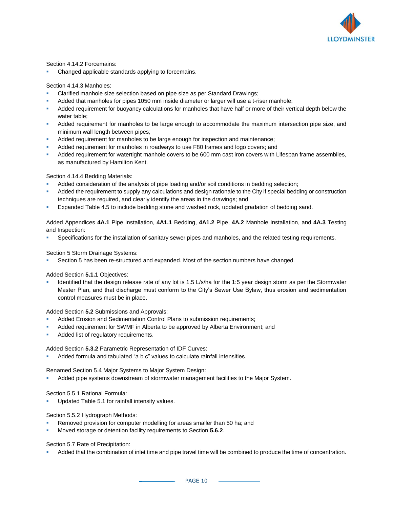

Section 4.14.2 Forcemains:

Changed applicable standards applying to forcemains.

Section 4.14.3 Manholes:

- Clarified manhole size selection based on pipe size as per Standard Drawings;
- Added that manholes for pipes 1050 mm inside diameter or larger will use a t-riser manhole;
- Added requirement for buoyancy calculations for manholes that have half or more of their vertical depth below the water table;
- Added requirement for manholes to be large enough to accommodate the maximum intersection pipe size, and minimum wall length between pipes;
- Added requirement for manholes to be large enough for inspection and maintenance;
- Added requirement for manholes in roadways to use F80 frames and logo covers; and
- Added requirement for watertight manhole covers to be 600 mm cast iron covers with Lifespan frame assemblies, as manufactured by Hamilton Kent.

#### Section 4.14.4 Bedding Materials:

- Added consideration of the analysis of pipe loading and/or soil conditions in bedding selection;
- Added the requirement to supply any calculations and design rationale to the City if special bedding or construction techniques are required, and clearly identify the areas in the drawings; and
- Expanded Table 4.5 to include bedding stone and washed rock, updated gradation of bedding sand.

Added Appendices **4A.1** Pipe Installation, **4A1.1** Bedding, **4A1.2** Pipe, **4A.2** Manhole Installation, and **4A.3** Testing and Inspection:

Specifications for the installation of sanitary sewer pipes and manholes, and the related testing requirements.

Section 5 Storm Drainage Systems:

Section 5 has been re-structured and expanded. Most of the section numbers have changed.

Added Section **5.1.1** Objectives:

Identified that the design release rate of any lot is 1.5 L/s/ha for the 1:5 year design storm as per the Stormwater Master Plan, and that discharge must conform to the City's Sewer Use Bylaw, thus erosion and sedimentation control measures must be in place.

Added Section **5.2** Submissions and Approvals:

- Added Erosion and Sedimentation Control Plans to submission requirements;
- Added requirement for SWMF in Alberta to be approved by Alberta Environment; and
- Added list of regulatory requirements.

Added Section **5.3.2** Parametric Representation of IDF Curves:

Added formula and tabulated "a b c" values to calculate rainfall intensities.

Renamed Section 5.4 Major Systems to Major System Design:

Added pipe systems downstream of stormwater management facilities to the Major System.

Section 5.5.1 Rational Formula:

Updated Table 5.1 for rainfall intensity values.

Section 5.5.2 Hydrograph Methods:

- Removed provision for computer modelling for areas smaller than 50 ha; and
- Moved storage or detention facility requirements to Section **5.6.2**.

Section 5.7 Rate of Precipitation:

Added that the combination of inlet time and pipe travel time will be combined to produce the time of concentration.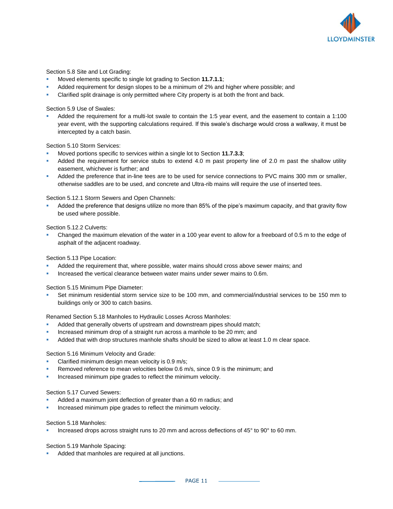

#### Section 5.8 Site and Lot Grading:

- Moved elements specific to single lot grading to Section **11.7.1.1**;
- Added requirement for design slopes to be a minimum of 2% and higher where possible; and
- Clarified split drainage is only permitted where City property is at both the front and back.

#### Section 5.9 Use of Swales:

Added the requirement for a multi-lot swale to contain the 1:5 year event, and the easement to contain a 1:100 year event, with the supporting calculations required. If this swale's discharge would cross a walkway, it must be intercepted by a catch basin.

#### Section 5.10 Storm Services:

- Moved portions specific to services within a single lot to Section **11.7.3.3**;
- Added the requirement for service stubs to extend 4.0 m past property line of 2.0 m past the shallow utility easement, whichever is further; and
- Added the preference that in-line tees are to be used for service connections to PVC mains 300 mm or smaller, otherwise saddles are to be used, and concrete and Ultra-rib mains will require the use of inserted tees.

#### Section 5.12.1 Storm Sewers and Open Channels:

Added the preference that designs utilize no more than 85% of the pipe's maximum capacity, and that gravity flow be used where possible.

#### Section 5.12.2 Culverts:

Changed the maximum elevation of the water in a 100 year event to allow for a freeboard of 0.5 m to the edge of asphalt of the adjacent roadway.

#### Section 5.13 Pipe Location:

- Added the requirement that, where possible, water mains should cross above sewer mains; and
- Increased the vertical clearance between water mains under sewer mains to 0.6m.

#### Section 5.15 Minimum Pipe Diameter:

Set minimum residential storm service size to be 100 mm, and commercial/industrial services to be 150 mm to buildings only or 300 to catch basins.

Renamed Section 5.18 Manholes to Hydraulic Losses Across Manholes:

- Added that generally obverts of upstream and downstream pipes should match;
- Increased minimum drop of a straight run across a manhole to be 20 mm; and
- Added that with drop structures manhole shafts should be sized to allow at least 1.0 m clear space.

#### Section 5.16 Minimum Velocity and Grade:

- Clarified minimum design mean velocity is 0.9 m/s;
- Removed reference to mean velocities below 0.6 m/s, since 0.9 is the minimum; and
- Increased minimum pipe grades to reflect the minimum velocity.

#### Section 5.17 Curved Sewers:

- Added a maximum joint deflection of greater than a 60 m radius; and
- Increased minimum pipe grades to reflect the minimum velocity.

#### Section 5.18 Manholes:

Increased drops across straight runs to 20 mm and across deflections of 45° to 90° to 60 mm.

#### Section 5.19 Manhole Spacing:

Added that manholes are required at all junctions.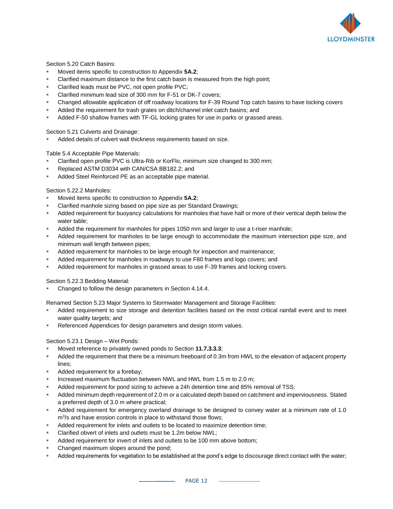

Section 5.20 Catch Basins:

- Moved items specific to construction to Appendix **5A.2**;
- Clarified maximum distance to the first catch basin is measured from the high point;
- Clarified leads must be PVC, not open profile PVC;
- Clarified minimum lead size of 300 mm for F-51 or DK-7 covers;
- Changed allowable application of off roadway locations for F-39 Round Top catch basins to have locking covers
- Added the requirement for trash grates on ditch/channel inlet catch basins; and
- Added F-50 shallow frames with TF-GL locking grates for use in parks or grassed areas.

Section 5.21 Culverts and Drainage:

Added details of culvert wall thickness requirements based on size.

Table 5.4 Acceptable Pipe Materials:

- Clarified open profile PVC is Ultra-Rib or KorFlo, minimum size changed to 300 mm;
- Replaced ASTM D3034 with CAN/CSA BB182.2; and
- Added Steel Reinforced PE as an acceptable pipe material.

Section 5.22.2 Manholes:

- Moved items specific to construction to Appendix 5A.2;
- Clarified manhole sizing based on pipe size as per Standard Drawings;
- Added requirement for buoyancy calculations for manholes that have half or more of their vertical depth below the water table;
- Added the requirement for manholes for pipes 1050 mm and larger to use a t-riser manhole;
- Added requirement for manholes to be large enough to accommodate the maximum intersection pipe size, and minimum wall length between pipes;
- Added requirement for manholes to be large enough for inspection and maintenance;
- Added requirement for manholes in roadways to use F80 frames and logo covers; and
- Added requirement for manholes in grassed areas to use F-39 frames and locking covers.

Section 5.22.3 Bedding Material:

Changed to follow the design parameters in Section 4.14.4.

Renamed Section 5.23 Major Systems to Stormwater Management and Storage Facilities:

- Added requirement to size storage and detention facilities based on the most critical rainfall event and to meet water quality targets; and
- Referenced Appendices for design parameters and design storm values.

Section 5.23.1 Design – Wet Ponds:

- Moved reference to privately owned ponds to Section **11.7.3.3.3**;
- Added the requirement that there be a minimum freeboard of 0.3m from HWL to the elevation of adjacent property lines;
- Added requirement for a forebay;
- Increased maximum fluctuation between NWL and HWL from 1.5 m to 2.0 m;
- Added requirement for pond sizing to achieve a 24h detention time and 85% removal of TSS;
- Added minimum depth requirement of 2.0 m or a calculated depth based on catchment and imperviousness. Stated a preferred depth of 3.0 m where practical;
- Added requirement for emergency overland drainage to be designed to convey water at a minimum rate of 1.0 m<sup>3</sup> /s and have erosion controls in place to withstand those flows;
- Added requirement for inlets and outlets to be located to maximize detention time;
- Clarified obvert of inlets and outlets must be 1.2m below NWL:
- Added requirement for invert of inlets and outlets to be 100 mm above bottom;
- Changed maximum slopes around the pond;
- Added requirements for vegetation to be established at the pond's edge to discourage direct contact with the water;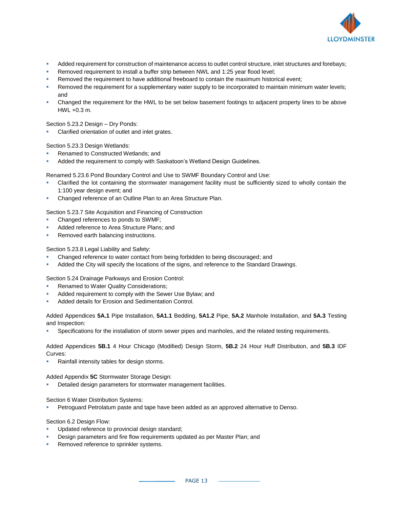

- Added requirement for construction of maintenance access to outlet control structure, inlet structures and forebays;
- Removed requirement to install a buffer strip between NWL and 1:25 year flood level;
- Removed the requirement to have additional freeboard to contain the maximum historical event;
- Removed the requirement for a supplementary water supply to be incorporated to maintain minimum water levels; and
- Changed the requirement for the HWL to be set below basement footings to adjacent property lines to be above HWL +0.3 m.

Section 5.23.2 Design – Dry Ponds:

Clarified orientation of outlet and inlet grates.

Section 5.23.3 Design Wetlands:

- Renamed to Constructed Wetlands; and
- Added the requirement to comply with Saskatoon's Wetland Design Guidelines.

Renamed 5.23.6 Pond Boundary Control and Use to SWMF Boundary Control and Use:

- Clarified the lot containing the stormwater management facility must be sufficiently sized to wholly contain the 1:100 year design event; and
- Changed reference of an Outline Plan to an Area Structure Plan.

Section 5.23.7 Site Acquisition and Financing of Construction

- Changed references to ponds to SWMF;
- Added reference to Area Structure Plans: and
- Removed earth balancing instructions.

Section 5.23.8 Legal Liability and Safety:

- Changed reference to water contact from being forbidden to being discouraged; and
- Added the City will specify the locations of the signs, and reference to the Standard Drawings.

Section 5.24 Drainage Parkways and Erosion Control:

- Renamed to Water Quality Considerations;
- Added requirement to comply with the Sewer Use Bylaw; and
- Added details for Erosion and Sedimentation Control.

Added Appendices **5A.1** Pipe Installation, **5A1.1** Bedding, **5A1.2** Pipe, **5A.2** Manhole Installation, and **5A.3** Testing and Inspection:

Specifications for the installation of storm sewer pipes and manholes, and the related testing requirements.

Added Appendices **5B.1** 4 Hour Chicago (Modified) Design Storm, **5B.2** 24 Hour Huff Distribution, and **5B.3** IDF Curves:

Rainfall intensity tables for design storms.

Added Appendix **5C** Stormwater Storage Design:

Detailed design parameters for stormwater management facilities.

Section 6 Water Distribution Systems:

Petroguard Petrolatum paste and tape have been added as an approved alternative to Denso.

#### Section 6.2 Design Flow:

- Updated reference to provincial design standard;
- Design parameters and fire flow requirements updated as per Master Plan; and
- Removed reference to sprinkler systems.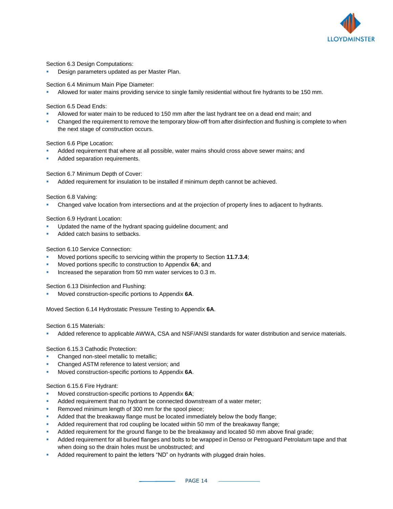

Section 6.3 Design Computations:

Design parameters updated as per Master Plan.

Section 6.4 Minimum Main Pipe Diameter:

Allowed for water mains providing service to single family residential without fire hydrants to be 150 mm.

Section 6.5 Dead Ends:

- Allowed for water main to be reduced to 150 mm after the last hydrant tee on a dead end main; and
- Changed the requirement to remove the temporary blow-off from after disinfection and flushing is complete to when the next stage of construction occurs.

Section 6.6 Pipe Location:

- Added requirement that where at all possible, water mains should cross above sewer mains; and
- Added separation requirements.

Section 6.7 Minimum Depth of Cover:

Added requirement for insulation to be installed if minimum depth cannot be achieved.

Section 6.8 Valving:

Changed valve location from intersections and at the projection of property lines to adjacent to hydrants.

Section 6.9 Hydrant Location:

- Updated the name of the hydrant spacing guideline document; and
- Added catch basins to setbacks.

Section 6.10 Service Connection:

- Moved portions specific to servicing within the property to Section 11.7.3.4;
- Moved portions specific to construction to Appendix 6A; and
- Increased the separation from 50 mm water services to 0.3 m.

Section 6.13 Disinfection and Flushing:

Moved construction-specific portions to Appendix 6A.

Moved Section 6.14 Hydrostatic Pressure Testing to Appendix **6A**.

Section 6.15 Materials:

Added reference to applicable AWWA, CSA and NSF/ANSI standards for water distribution and service materials.

Section 6.15.3 Cathodic Protection:

- Changed non-steel metallic to metallic;
- Changed ASTM reference to latest version; and
- Moved construction-specific portions to Appendix 6A.

Section 6.15.6 Fire Hydrant:

- Moved construction-specific portions to Appendix 6A;
- Added requirement that no hydrant be connected downstream of a water meter;
- Removed minimum length of 300 mm for the spool piece;
- Added that the breakaway flange must be located immediately below the body flange;
- Added requirement that rod coupling be located within 50 mm of the breakaway flange;
- Added requirement for the ground flange to be the breakaway and located 50 mm above final grade;
- Added requirement for all buried flanges and bolts to be wrapped in Denso or Petroguard Petrolatum tape and that when doing so the drain holes must be unobstructed; and
- Added requirement to paint the letters "ND" on hydrants with plugged drain holes.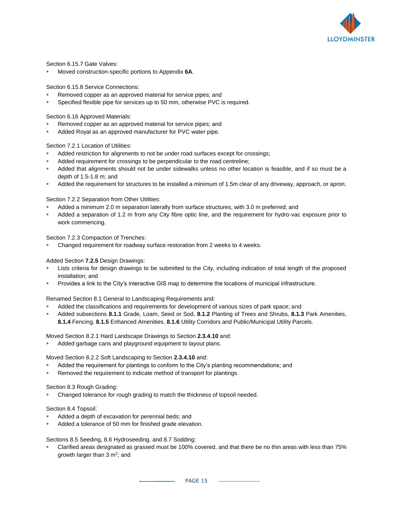

Section 6.15.7 Gate Valves:

Moved construction-specific portions to Appendix 6A.

Section 6.15.8 Service Connections:

- Removed copper as an approved material for service pipes; and
- Specified flexible pipe for services up to 50 mm, otherwise PVC is required.

Section 6.16 Approved Materials:

- Removed copper as an approved material for service pipes; and
- Added Royal as an approved manufacturer for PVC water pipe.

#### Section 7.2.1 Location of Utilities:

- Added restriction for alignments to not be under road surfaces except for crossings;
- Added requirement for crossings to be perpendicular to the road centreline;
- Added that alignments should not be under sidewalks unless no other location is feasible, and if so must be a depth of 1.5-1.8 m; and
- Added the requirement for structures to be installed a minimum of 1.5m clear of any driveway, approach, or apron.

Section 7.2.2 Separation from Other Utilities:

- Added a minimum 2.0 m separation laterally from surface structures, with 3.0 m preferred; and
- Added a separation of 1.2 m from any City fibre optic line, and the requirement for hydro-vac exposure prior to work commencing.

Section 7.2.3 Compaction of Trenches:

Changed requirement for roadway surface restoration from 2 weeks to 4 weeks.

#### Added Section **7.2.5** Design Drawings:

- Lists criteria for design drawings to be submitted to the City, including indication of total length of the proposed installation; and
- Provides a link to the City's interactive GIS map to determine the locations of municipal infrastructure.

Renamed Section 8.1 General to Landscaping Requirements and:

- Added the classifications and requirements for development of various sizes of park space; and
- Added subsections **8.1.1** Grade, Loam, Seed or Sod, **8.1.2** Planting of Trees and Shrubs, **8.1.3** Park Amenities, **8.1.4** Fencing, **8.1.5** Enhanced Amenities, **8.1.6** Utility Corridors and Public/Municipal Utility Parcels.

#### Moved Section 8.2.1 Hard Landscape Drawings to Section **2.3.4.10** and:

Added garbage cans and playground equipment to layout plans.

Moved Section 8.2.2 Soft Landscaping to Section **2.3.4.10** and:

- Added the requirement for plantings to conform to the City's planting recommendations; and
- Removed the requirement to indicate method of transport for plantings.

#### Section 8.3 Rough Grading:

Changed tolerance for rough grading to match the thickness of topsoil needed.

#### Section 8.4 Topsoil:

- Added a depth of excavation for perennial beds; and
- Added a tolerance of 50 mm for finished grade elevation.

Sections 8.5 Seeding, 8.6 Hydroseeding, and 8.7 Sodding:

Clarified areas designated as grassed must be 100% covered, and that there be no thin areas with less than 75% growth larger than 3 m<sup>2</sup>; and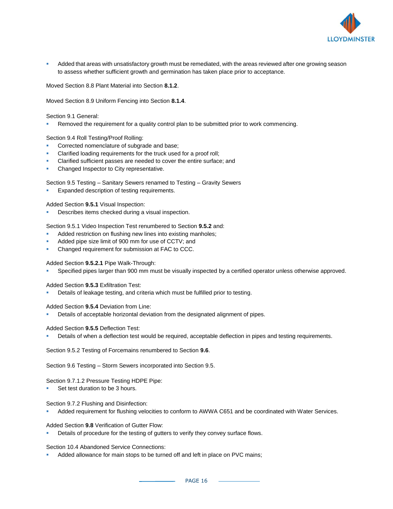

Added that areas with unsatisfactory growth must be remediated, with the areas reviewed after one growing season to assess whether sufficient growth and germination has taken place prior to acceptance.

Moved Section 8.8 Plant Material into Section **8.1.2**.

Moved Section 8.9 Uniform Fencing into Section **8.1.4**.

Section 9.1 General:

Removed the requirement for a quality control plan to be submitted prior to work commencing.

Section 9.4 Roll Testing/Proof Rolling:

- Corrected nomenclature of subgrade and base;
- Clarified loading requirements for the truck used for a proof roll;
- Clarified sufficient passes are needed to cover the entire surface; and
- Changed Inspector to City representative.

Section 9.5 Testing – Sanitary Sewers renamed to Testing – Gravity Sewers

Expanded description of testing requirements.

Added Section **9.5.1** Visual Inspection:

Describes items checked during a visual inspection.

Section 9.5.1 Video Inspection Test renumbered to Section **9.5.2** and:

- Added restriction on flushing new lines into existing manholes;
- Added pipe size limit of 900 mm for use of CCTV; and
- Changed requirement for submission at FAC to CCC.

Added Section **9.5.2.1** Pipe Walk-Through:

Specified pipes larger than 900 mm must be visually inspected by a certified operator unless otherwise approved.

Added Section **9.5.3** Exfiltration Test:

Details of leakage testing, and criteria which must be fulfilled prior to testing.

Added Section **9.5.4** Deviation from Line:

Details of acceptable horizontal deviation from the designated alignment of pipes.

Added Section **9.5.5** Deflection Test:

Details of when a deflection test would be required, acceptable deflection in pipes and testing requirements.

Section 9.5.2 Testing of Forcemains renumbered to Section **9.6**.

Section 9.6 Testing – Storm Sewers incorporated into Section 9.5.

Section 9.7.1.2 Pressure Testing HDPE Pipe:

Set test duration to be 3 hours.

Section 9.7.2 Flushing and Disinfection:

Added requirement for flushing velocities to conform to AWWA C651 and be coordinated with Water Services.

Added Section **9.8** Verification of Gutter Flow:

Details of procedure for the testing of gutters to verify they convey surface flows.

Section 10.4 Abandoned Service Connections:

Added allowance for main stops to be turned off and left in place on PVC mains;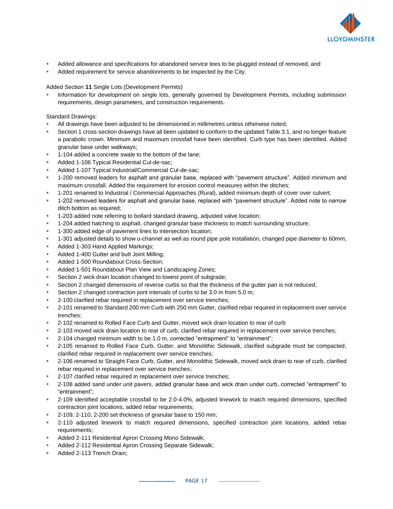

- Added allowance and specifications for abandoned service tees to be plugged instead of removed; and
- Added requirement for service abandonments to be inspected by the City.

Added Section **11** Single Lots (Development Permits)

Information for development on single lots, generally governed by Development Permits, including submission requirements, design parameters, and construction requirements.

Standard Drawings:

- All drawings have been adjusted to be dimensioned in millimetres unless otherwise noted;
- Section 1 cross-section drawings have all been updated to conform to the updated Table 3.1, and no longer feature a parabolic crown. Minimum and maximum crossfall have been identified. Curb type has been identified. Added granular base under walkways;
- 1-104 added a concrete swale to the bottom of the lane;
- Added 1-106 Typical Residential Cul-de-sac;
- Added 1-107 Typical Industrial/Commercial Cul-de-sac;
- 1-200 removed leaders for asphalt and granular base, replaced with "pavement structure". Added minimum and maximum crossfall. Added the requirement for erosion control measures within the ditches;
- 1-201 renamed to Industrial / Commercial Approaches (Rural), added minimum depth of cover over culvert;
- 1-202 removed leaders for asphalt and granular base, replaced with "pavement structure". Added note to narrow ditch bottom as required;
- 1-203 added note referring to bollard standard drawing, adjusted valve location;
- 1-204 added hatching to asphalt, changed granular base thickness to match surrounding structure;
- 1-300 added edge of pavement lines to intersection location;
- 1-301 adjusted details to show u-channel as well as round pipe pole installation, changed pipe diameter to 60mm;
- Added 1-303 Hand Applied Markings;
- Added 1-400 Gutter and butt Joint Milling;
- Added 1-500 Roundabout Cross-Section:
- Added 1-501 Roundabout Plan View and Landscaping Zones;
- Section 2 wick drain location changed to lowest point of subgrade;
- Section 2 changed dimensions of reverse curbs so that the thickness of the gutter pan is not reduced;
- Section 2 changed contraction joint intervals of curbs to be 3.0 m from 5.0 m;
- 2-100 clarified rebar required in replacement over service trenches;
- 2-101 renamed to Standard 200 mm Curb with 250 mm Gutter, clarified rebar required in replacement over service trenches;
- 2-102 renamed to Rolled Face Curb and Gutter, moved wick drain location to rear of curb
- 2-103 moved wick drain location to rear of curb, clarified rebar required in replacement over service trenches;
- 2-104 changed minimum width to be 1.0 m, corrected "entrapment" to "entrainment";
- 2-105 renamed to Rolled Face Curb, Gutter, and Monolithic Sidewalk, clarified subgrade must be compacted, clarified rebar required in replacement over service trenches;
- 2-106 renamed to Straight Face Curb, Gutter, and Monolithic Sidewalk, moved wick drain to rear of curb, clarified rebar required in replacement over service trenches;
- 2-107 clarified rebar required in replacement over service trenches;
- 2-108 added sand under unit pavers, added granular base and wick drain under curb, corrected "entrapment" to "entrainment";
- 2-109 identified acceptable crossfall to be 2.0-4.0%, adjusted linework to match required dimensions, specified contraction joint locations, added rebar requirements;
- 2-109, 2-110, 2-200 set thickness of granular base to 150 mm;
- 2-110 adjusted linework to match required dimensions, specified contraction joint locations, added rebar requirements;
- Added 2-111 Residential Apron Crossing Mono Sidewalk;
- Added 2-112 Residential Apron Crossing Separate Sidewalk;
- Added 2-113 Trench Drain;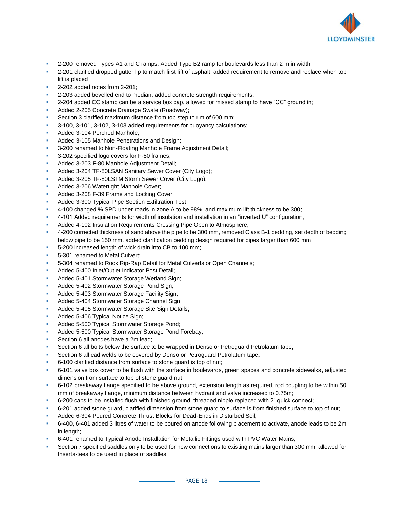

- 2-200 removed Types A1 and C ramps. Added Type B2 ramp for boulevards less than 2 m in width;
- 2-201 clarified dropped gutter lip to match first lift of asphalt, added requirement to remove and replace when top lift is placed
- 2-202 added notes from 2-201;
- 2-203 added bevelled end to median, added concrete strength requirements;
- 2-204 added CC stamp can be a service box cap, allowed for missed stamp to have "CC" ground in;
- Added 2-205 Concrete Drainage Swale (Roadway);
- Section 3 clarified maximum distance from top step to rim of 600 mm;
- 3-100, 3-101, 3-102, 3-103 added requirements for buoyancy calculations;
- Added 3-104 Perched Manhole:
- Added 3-105 Manhole Penetrations and Design;
- 3-200 renamed to Non-Floating Manhole Frame Adjustment Detail;
- 3-202 specified logo covers for F-80 frames;
- Added 3-203 F-80 Manhole Adjustment Detail;
- Added 3-204 TF-80LSAN Sanitary Sewer Cover (City Logo);
- Added 3-205 TF-80LSTM Storm Sewer Cover (City Logo);
- Added 3-206 Watertight Manhole Cover;
- Added 3-208 F-39 Frame and Locking Cover;
- Added 3-300 Typical Pipe Section Exfiltration Test
- 4-100 changed % SPD under roads in zone A to be 98%, and maximum lift thickness to be 300;
- 4-101 Added requirements for width of insulation and installation in an "inverted U" configuration;
- Added 4-102 Insulation Requirements Crossing Pipe Open to Atmosphere;
- 4-200 corrected thickness of sand above the pipe to be 300 mm, removed Class B-1 bedding, set depth of bedding below pipe to be 150 mm, added clarification bedding design required for pipes larger than 600 mm;
- 5-200 increased length of wick drain into CB to 100 mm;
- 5-301 renamed to Metal Culvert;
- 5-304 renamed to Rock Rip-Rap Detail for Metal Culverts or Open Channels;
- Added 5-400 Inlet/Outlet Indicator Post Detail;
- Added 5-401 Stormwater Storage Wetland Sign;
- Added 5-402 Stormwater Storage Pond Sign;
- Added 5-403 Stormwater Storage Facility Sign;
- Added 5-404 Stormwater Storage Channel Sign;
- Added 5-405 Stormwater Storage Site Sign Details;
- Added 5-406 Typical Notice Sign;
- Added 5-500 Typical Stormwater Storage Pond;
- Added 5-500 Typical Stormwater Storage Pond Forebay;
- Section 6 all anodes have a 2m lead;
- Section 6 all bolts below the surface to be wrapped in Denso or Petroguard Petrolatum tape;
- Section 6 all cad welds to be covered by Denso or Petroguard Petrolatum tape;
- 6-100 clarified distance from surface to stone guard is top of nut;
- 6-101 valve box cover to be flush with the surface in boulevards, green spaces and concrete sidewalks, adjusted dimension from surface to top of stone guard nut;
- 6-102 breakaway flange specified to be above ground, extension length as required, rod coupling to be within 50 mm of breakaway flange, minimum distance between hydrant and valve increased to 0.75m;
- 6-200 caps to be installed flush with finished ground, threaded nipple replaced with 2" quick connect;
- 6-201 added stone guard, clarified dimension from stone guard to surface is from finished surface to top of nut;
- Added 6-304 Poured Concrete Thrust Blocks for Dead-Ends in Disturbed Soil;
- 6-400, 6-401 added 3 litres of water to be poured on anode following placement to activate, anode leads to be 2m in length;
- 6-401 renamed to Typical Anode Installation for Metallic Fittings used with PVC Water Mains;
- Section 7 specified saddles only to be used for new connections to existing mains larger than 300 mm, allowed for Inserta-tees to be used in place of saddles;